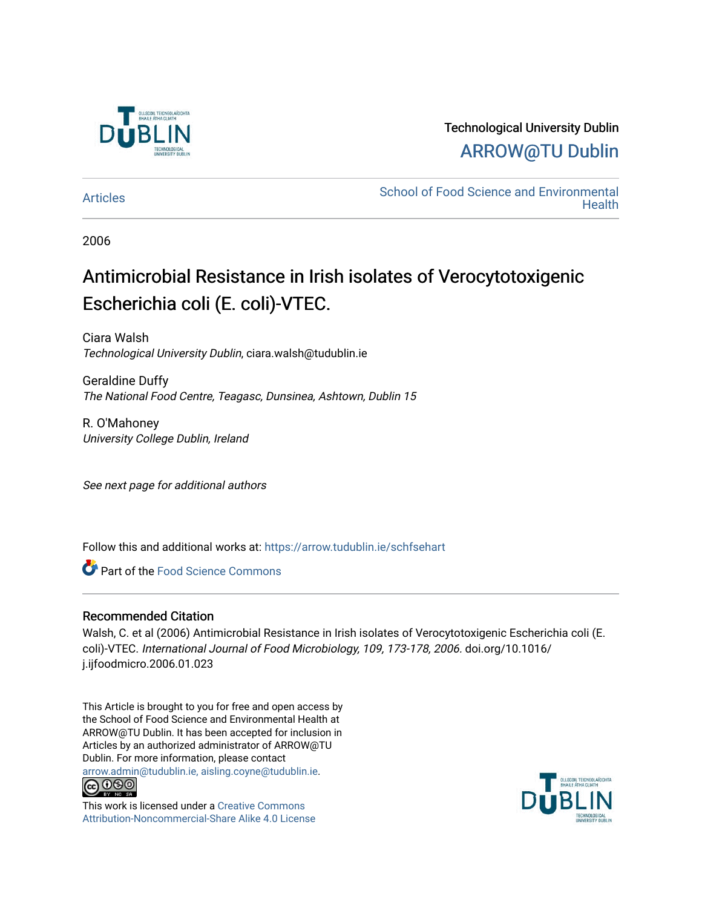

Technological University Dublin [ARROW@TU Dublin](https://arrow.tudublin.ie/) 

[Articles](https://arrow.tudublin.ie/schfsehart) **School of Food Science and Environmental Health** 

2006

# Antimicrobial Resistance in Irish isolates of Verocytotoxigenic Escherichia coli (E. coli)-VTEC.

Ciara Walsh Technological University Dublin, ciara.walsh@tudublin.ie

Geraldine Duffy The National Food Centre, Teagasc, Dunsinea, Ashtown, Dublin 15

R. O'Mahoney University College Dublin, Ireland

See next page for additional authors

Follow this and additional works at: [https://arrow.tudublin.ie/schfsehart](https://arrow.tudublin.ie/schfsehart?utm_source=arrow.tudublin.ie%2Fschfsehart%2F265&utm_medium=PDF&utm_campaign=PDFCoverPages) 

Part of the [Food Science Commons](http://network.bepress.com/hgg/discipline/84?utm_source=arrow.tudublin.ie%2Fschfsehart%2F265&utm_medium=PDF&utm_campaign=PDFCoverPages) 

## Recommended Citation

Walsh, C. et al (2006) Antimicrobial Resistance in Irish isolates of Verocytotoxigenic Escherichia coli (E. coli)-VTEC. International Journal of Food Microbiology, 109, 173-178, 2006. doi.org/10.1016/ j.ijfoodmicro.2006.01.023

This Article is brought to you for free and open access by the School of Food Science and Environmental Health at ARROW@TU Dublin. It has been accepted for inclusion in Articles by an authorized administrator of ARROW@TU Dublin. For more information, please contact [arrow.admin@tudublin.ie, aisling.coyne@tudublin.ie](mailto:arrow.admin@tudublin.ie,%20aisling.coyne@tudublin.ie).



This work is licensed under a [Creative Commons](http://creativecommons.org/licenses/by-nc-sa/4.0/) [Attribution-Noncommercial-Share Alike 4.0 License](http://creativecommons.org/licenses/by-nc-sa/4.0/)

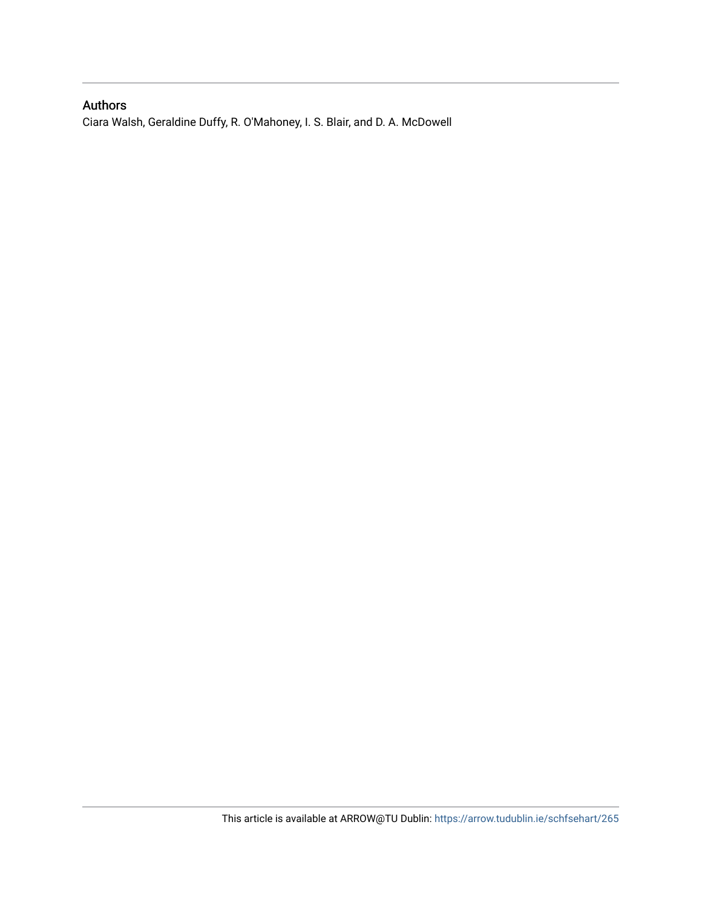## Authors

Ciara Walsh, Geraldine Duffy, R. O'Mahoney, I. S. Blair, and D. A. McDowell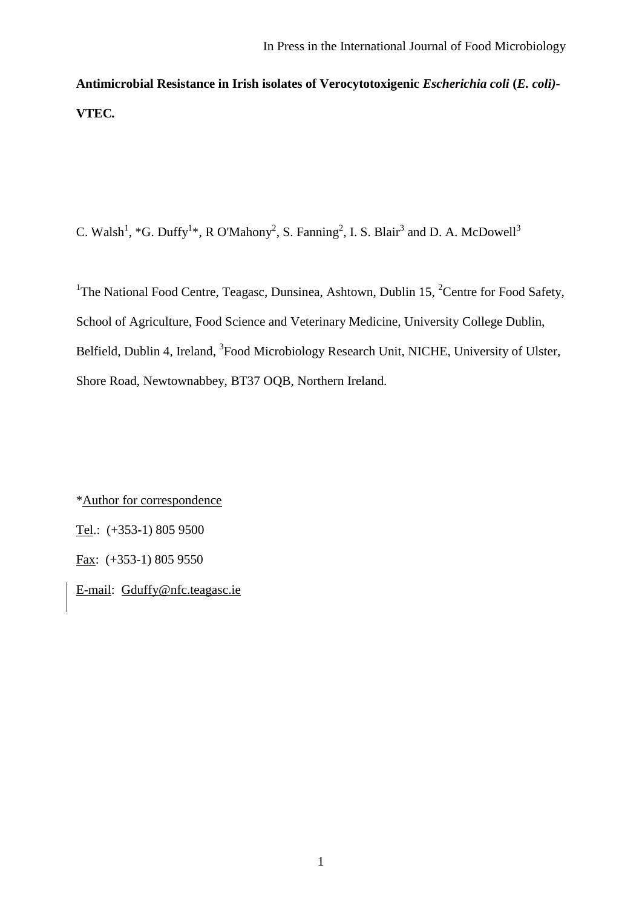**Antimicrobial Resistance in Irish isolates of Verocytotoxigenic** *Escherichia coli* **(***E. coli)***- VTEC***.*

C. Walsh<sup>1</sup>, \*G. Duffy<sup>1</sup>\*, R O'Mahony<sup>2</sup>, S. Fanning<sup>2</sup>, I. S. Blair<sup>3</sup> and D. A. McDowell<sup>3</sup>

<sup>1</sup>The National Food Centre, Teagasc, Dunsinea, Ashtown, Dublin 15, <sup>2</sup>Centre for Food Safety, School of Agriculture, Food Science and Veterinary Medicine, University College Dublin, Belfield, Dublin 4, Ireland, <sup>3</sup>Food Microbiology Research Unit, NICHE, University of Ulster, Shore Road, Newtownabbey, BT37 OQB, Northern Ireland.

\*Author for correspondence Tel.: (+353-1) 805 9500 Fax: (+353-1) 805 9550 E-mail: [Gduffy@nfc.teagasc.ie](mailto:Gduffy@nfc.teagasc.ie)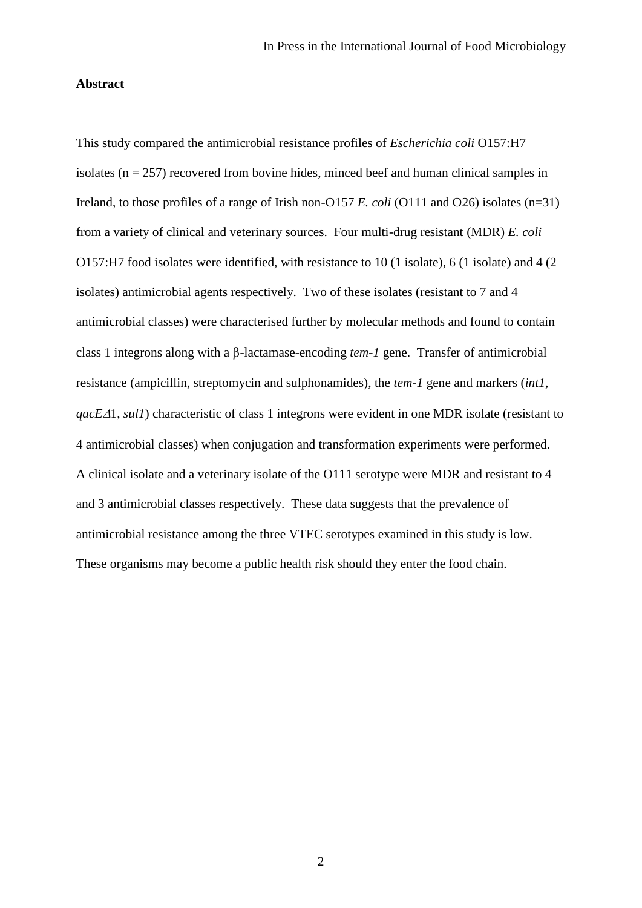#### **Abstract**

This study compared the antimicrobial resistance profiles of *Escherichia coli* O157:H7 isolates ( $n = 257$ ) recovered from bovine hides, minced beef and human clinical samples in Ireland, to those profiles of a range of Irish non-O157 *E. coli* (O111 and O26) isolates (n=31) from a variety of clinical and veterinary sources. Four multi-drug resistant (MDR) *E. coli*  O157:H7 food isolates were identified, with resistance to 10 (1 isolate), 6 (1 isolate) and 4 (2 isolates) antimicrobial agents respectively. Two of these isolates (resistant to 7 and 4 antimicrobial classes) were characterised further by molecular methods and found to contain class 1 integrons along with a  $\beta$ -lactamase-encoding *tem-1* gene. Transfer of antimicrobial resistance (ampicillin, streptomycin and sulphonamides), the *tem-1* gene and markers (*int1, qacE* $\Delta$ 1, *sul1*) characteristic of class 1 integrons were evident in one MDR isolate (resistant to 4 antimicrobial classes) when conjugation and transformation experiments were performed. A clinical isolate and a veterinary isolate of the O111 serotype were MDR and resistant to 4 and 3 antimicrobial classes respectively. These data suggests that the prevalence of antimicrobial resistance among the three VTEC serotypes examined in this study is low. These organisms may become a public health risk should they enter the food chain.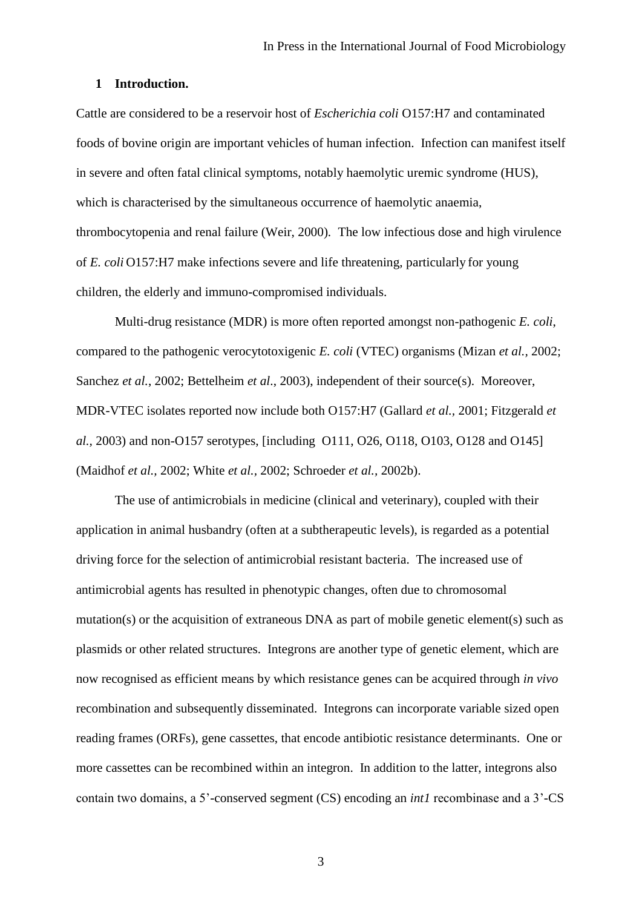## **1 Introduction.**

Cattle are considered to be a reservoir host of *Escherichia coli* O157:H7 and contaminated foods of bovine origin are important vehicles of human infection. Infection can manifest itself in severe and often fatal clinical symptoms, notably haemolytic uremic syndrome (HUS), which is characterised by the simultaneous occurrence of haemolytic anaemia, thrombocytopenia and renal failure (Weir, 2000)*.* The low infectious dose and high virulence of *E. coli* O157:H7 make infections severe and life threatening, particularly for young children, the elderly and immuno-compromised individuals.

Multi-drug resistance (MDR) is more often reported amongst non-pathogenic *E. coli*, compared to the pathogenic verocytotoxigenic *E. coli* (VTEC) organisms (Mizan *et al.,* 2002; Sanchez *et al.*, 2002; Bettelheim *et al*., 2003), independent of their source(s). Moreover, MDR-VTEC isolates reported now include both O157:H7 (Gallard *et al.,* 2001; Fitzgerald *et al.,* 2003) and non-O157 serotypes, [including O111, O26, O118, O103, O128 and O145] (Maidhof *et al.,* 2002; White *et al.,* 2002; Schroeder *et al.,* 2002b).

The use of antimicrobials in medicine (clinical and veterinary), coupled with their application in animal husbandry (often at a subtherapeutic levels), is regarded as a potential driving force for the selection of antimicrobial resistant bacteria. The increased use of antimicrobial agents has resulted in phenotypic changes, often due to chromosomal mutation(s) or the acquisition of extraneous DNA as part of mobile genetic element(s) such as plasmids or other related structures. Integrons are another type of genetic element, which are now recognised as efficient means by which resistance genes can be acquired through *in vivo*  recombination and subsequently disseminated. Integrons can incorporate variable sized open reading frames (ORFs), gene cassettes, that encode antibiotic resistance determinants. One or more cassettes can be recombined within an integron. In addition to the latter, integrons also contain two domains, a 5'-conserved segment (CS) encoding an *int1* recombinase and a 3'-CS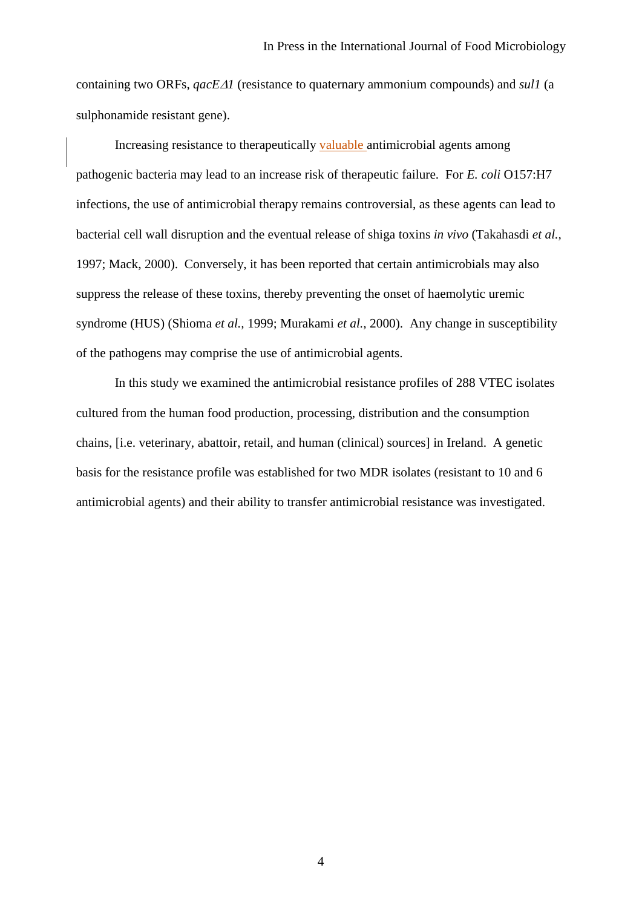containing two ORFs, *qacE1* (resistance to quaternary ammonium compounds) and *sul1* (a sulphonamide resistant gene).

Increasing resistance to therapeutically valuable antimicrobial agents among pathogenic bacteria may lead to an increase risk of therapeutic failure. For *E. coli* O157:H7 infections, the use of antimicrobial therapy remains controversial, as these agents can lead to bacterial cell wall disruption and the eventual release of shiga toxins *in vivo* (Takahasdi *et al.,* 1997; Mack, 2000). Conversely, it has been reported that certain antimicrobials may also suppress the release of these toxins, thereby preventing the onset of haemolytic uremic syndrome (HUS) (Shioma *et al.,* 1999; Murakami *et al.,* 2000). Any change in susceptibility of the pathogens may comprise the use of antimicrobial agents.

In this study we examined the antimicrobial resistance profiles of 288 VTEC isolates cultured from the human food production, processing, distribution and the consumption chains, [i.e. veterinary, abattoir, retail, and human (clinical) sources] in Ireland. A genetic basis for the resistance profile was established for two MDR isolates (resistant to 10 and 6 antimicrobial agents) and their ability to transfer antimicrobial resistance was investigated.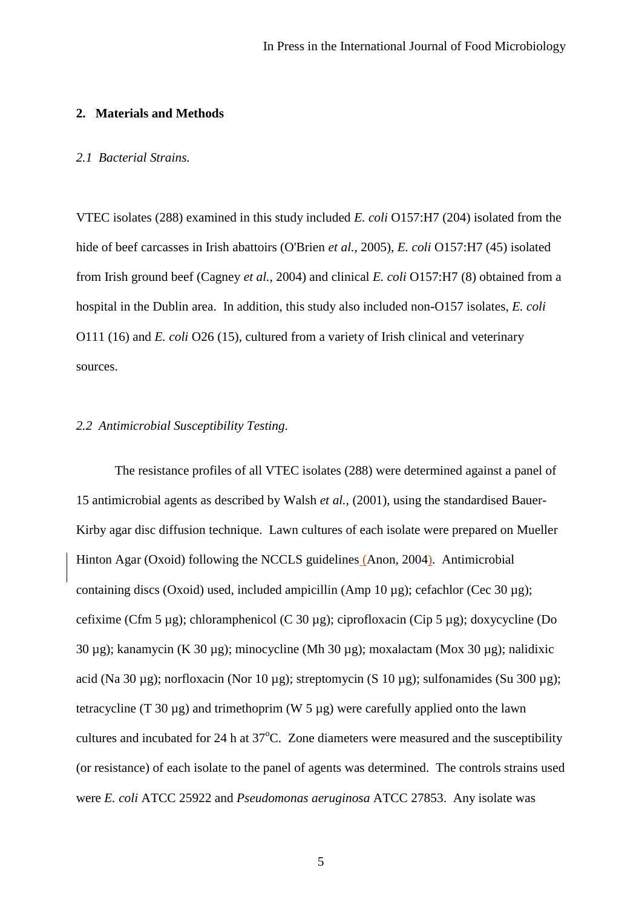### **2. Materials and Methods**

#### *2.1 Bacterial Strains.*

VTEC isolates (288) examined in this study included *E. coli* O157:H7 (204) isolated from the hide of beef carcasses in Irish abattoirs (O'Brien *et al.*, 2005), *E. coli* O157:H7 (45) isolated from Irish ground beef (Cagney *et al.,* 2004) and clinical *E. coli* O157:H7 (8) obtained from a hospital in the Dublin area. In addition, this study also included non-O157 isolates, *E. coli*  O111 (16) and *E. coli* O26 (15), cultured from a variety of Irish clinical and veterinary sources.

## *2.2 Antimicrobial Susceptibility Testing.*

The resistance profiles of all VTEC isolates (288) were determined against a panel of 15 antimicrobial agents as described by Walsh *et al.,* (2001), using the standardised Bauer-Kirby agar disc diffusion technique. Lawn cultures of each isolate were prepared on Mueller Hinton Agar (Oxoid) following the NCCLS guidelines (Anon, 2004). Antimicrobial containing discs (Oxoid) used, included ampicillin (Amp 10 µg); cefachlor (Cec 30 µg); cefixime (Cfm 5 µg); chloramphenicol (C 30 µg); ciprofloxacin (Cip 5 µg); doxycycline (Do 30 µg); kanamycin (K 30 µg); minocycline (Mh 30 µg); moxalactam (Mox 30 µg); nalidixic acid (Na 30 µg); norfloxacin (Nor 10 µg); streptomycin (S 10 µg); sulfonamides (Su 300 µg); tetracycline (T 30 µg) and trimethoprim (W 5 µg) were carefully applied onto the lawn cultures and incubated for  $24$  h at  $37^{\circ}$ C. Zone diameters were measured and the susceptibility (or resistance) of each isolate to the panel of agents was determined. The controls strains used were *E. coli* ATCC 25922 and *Pseudomonas aeruginosa* ATCC 27853. Any isolate was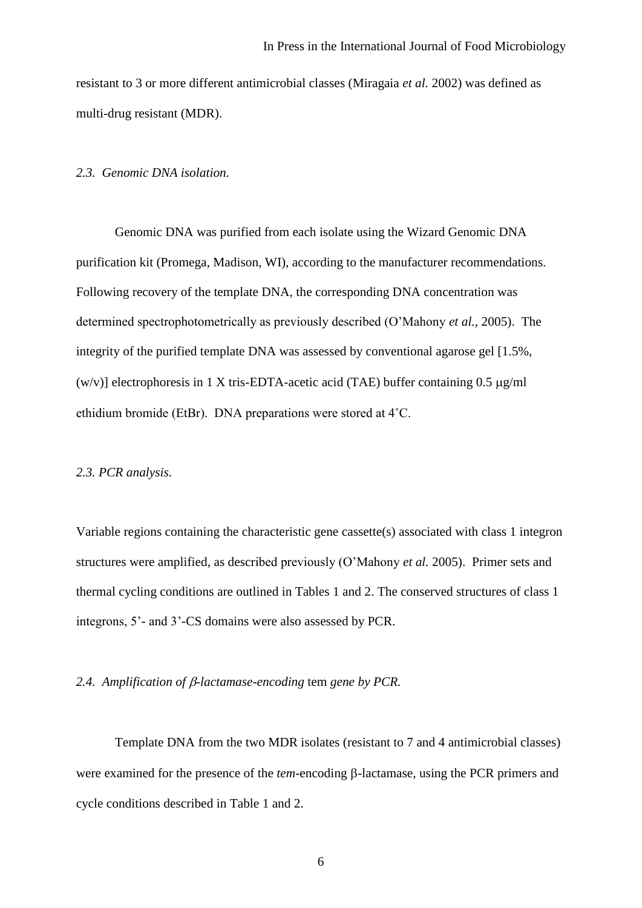resistant to 3 or more different antimicrobial classes (Miragaia *et al.* 2002) was defined as multi-drug resistant (MDR).

#### *2.3. Genomic DNA isolation.*

Genomic DNA was purified from each isolate using the Wizard Genomic DNA purification kit (Promega, Madison, WI), according to the manufacturer recommendations. Following recovery of the template DNA, the corresponding DNA concentration was determined spectrophotometrically as previously described (O'Mahony *et al.,* 2005). The integrity of the purified template DNA was assessed by conventional agarose gel [1.5%, (w/v)] electrophoresis in 1 X tris-EDTA-acetic acid (TAE) buffer containing  $0.5 \mu g/ml$ ethidium bromide (EtBr). DNA preparations were stored at 4˚C.

#### *2.3. PCR analysis.*

Variable regions containing the characteristic gene cassette(s) associated with class 1 integron structures were amplified, as described previously (O'Mahony *et al.* 2005). Primer sets and thermal cycling conditions are outlined in Tables 1 and 2. The conserved structures of class 1 integrons, 5'- and 3'-CS domains were also assessed by PCR.

## *2.4. Amplification of -lactamase-encoding* tem *gene by PCR.*

Template DNA from the two MDR isolates (resistant to 7 and 4 antimicrobial classes) were examined for the presence of the *tem*-encoding  $\beta$ -lactamase, using the PCR primers and cycle conditions described in Table 1 and 2.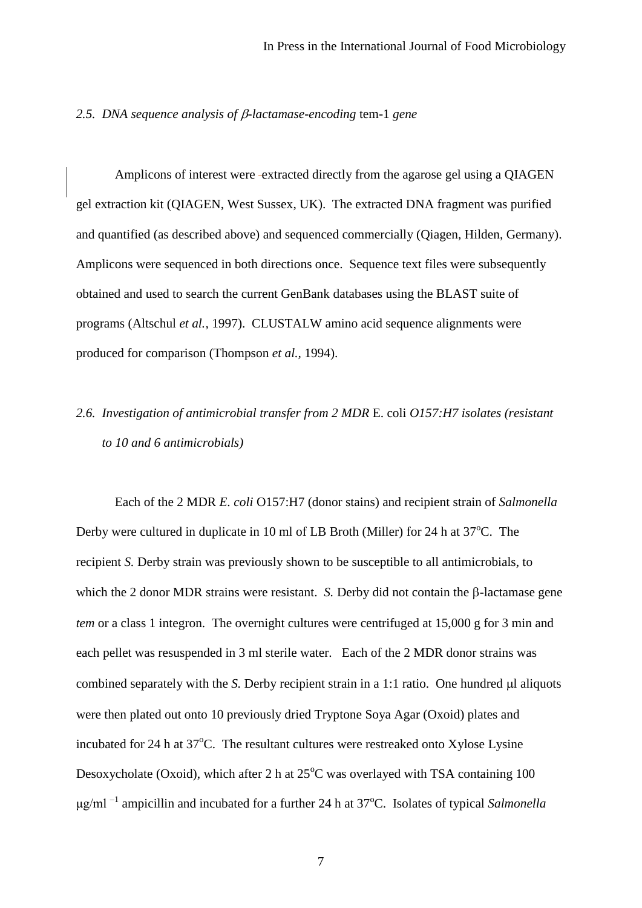#### *2.5. DNA sequence analysis of -lactamase-encoding* tem-1 *gene*

Amplicons of interest were extracted directly from the agarose gel using a QIAGEN gel extraction kit (QIAGEN, West Sussex, UK). The extracted DNA fragment was purified and quantified (as described above) and sequenced commercially (Qiagen, Hilden, Germany). Amplicons were sequenced in both directions once. Sequence text files were subsequently obtained and used to search the current GenBank databases using the BLAST suite of programs (Altschul *et al.,* 1997). CLUSTALW amino acid sequence alignments were produced for comparison (Thompson *et al.,* 1994).

# *2.6. Investigation of antimicrobial transfer from 2 MDR* E. coli *O157:H7 isolates (resistant to 10 and 6 antimicrobials)*

Each of the 2 MDR *E. coli* O157:H7 (donor stains) and recipient strain of *Salmonella*  Derby were cultured in duplicate in 10 ml of LB Broth (Miller) for 24 h at  $37^{\circ}$ C. The recipient *S.* Derby strain was previously shown to be susceptible to all antimicrobials, to which the 2 donor MDR strains were resistant. *S.* Derby did not contain the  $\beta$ -lactamase gene *tem* or a class 1 integron. The overnight cultures were centrifuged at 15,000 g for 3 min and each pellet was resuspended in 3 ml sterile water. Each of the 2 MDR donor strains was combined separately with the *S*. Derby recipient strain in a 1:1 ratio. One hundred  $\mu$ l aliquots were then plated out onto 10 previously dried Tryptone Soya Agar (Oxoid) plates and incubated for 24 h at  $37^{\circ}$ C. The resultant cultures were restreaked onto Xylose Lysine Desoxycholate (Oxoid), which after 2 h at  $25^{\circ}$ C was overlayed with TSA containing 100 μg/ml<sup>-1</sup> ampicillin and incubated for a further 24 h at 37<sup>o</sup>C. Isolates of typical *Salmonella*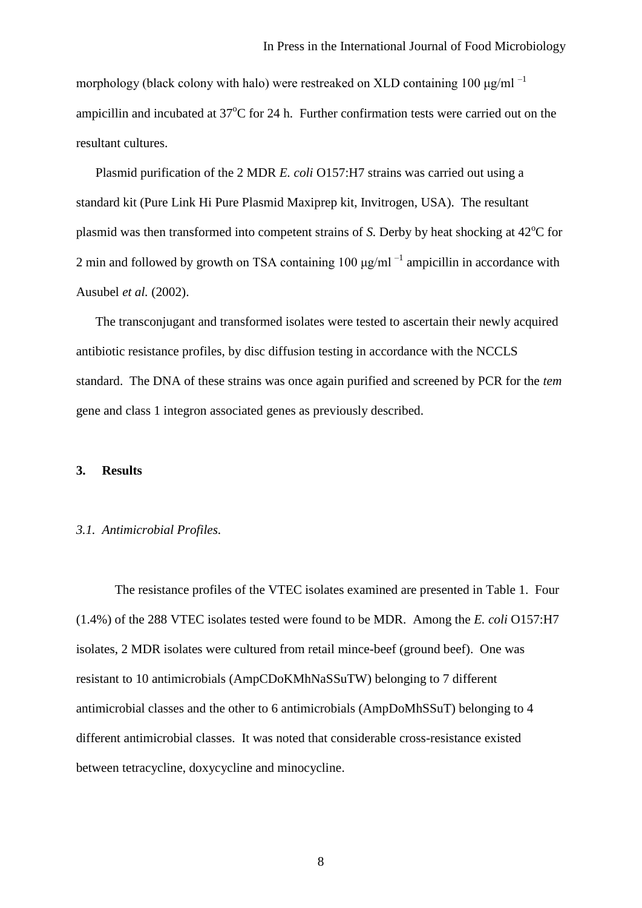morphology (black colony with halo) were restreaked on XLD containing 100  $\mu$ g/ml<sup>-1</sup> ampicillin and incubated at  $37^{\circ}$ C for 24 h. Further confirmation tests were carried out on the resultant cultures.

Plasmid purification of the 2 MDR *E. coli* O157:H7 strains was carried out using a standard kit (Pure Link Hi Pure Plasmid Maxiprep kit, Invitrogen, USA). The resultant plasmid was then transformed into competent strains of *S*. Derby by heat shocking at 42<sup>o</sup>C for 2 min and followed by growth on TSA containing  $100 \mu g/ml^{-1}$  ampicillin in accordance with Ausubel *et al.* (2002).

The transconjugant and transformed isolates were tested to ascertain their newly acquired antibiotic resistance profiles, by disc diffusion testing in accordance with the NCCLS standard. The DNA of these strains was once again purified and screened by PCR for the *tem*  gene and class 1 integron associated genes as previously described.

#### **3. Results**

#### *3.1. Antimicrobial Profiles.*

The resistance profiles of the VTEC isolates examined are presented in Table 1. Four (1.4%) of the 288 VTEC isolates tested were found to be MDR. Among the *E. coli* O157:H7 isolates, 2 MDR isolates were cultured from retail mince-beef (ground beef). One was resistant to 10 antimicrobials (AmpCDoKMhNaSSuTW) belonging to 7 different antimicrobial classes and the other to 6 antimicrobials (AmpDoMhSSuT) belonging to 4 different antimicrobial classes. It was noted that considerable cross-resistance existed between tetracycline, doxycycline and minocycline.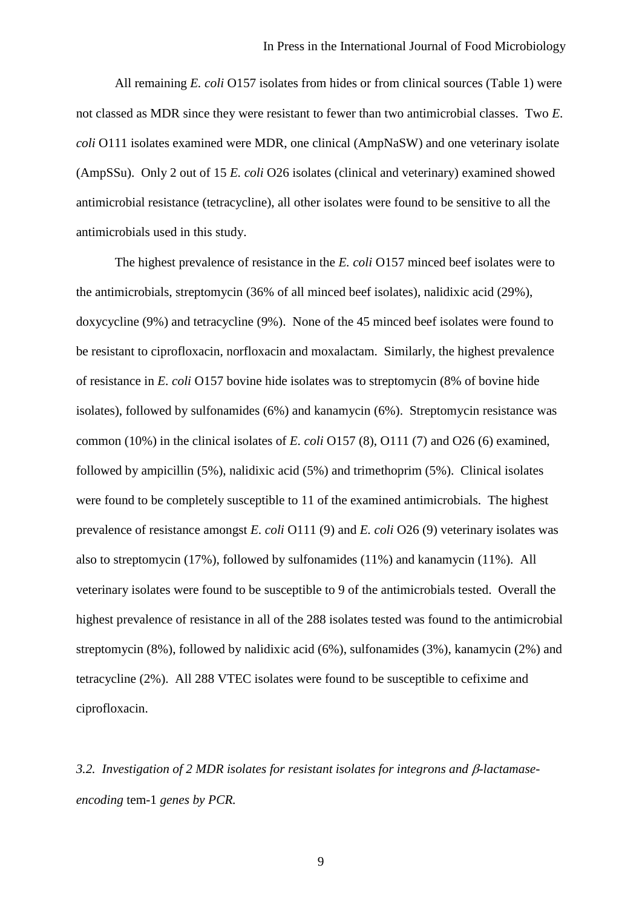All remaining *E. coli* O157 isolates from hides or from clinical sources (Table 1) were not classed as MDR since they were resistant to fewer than two antimicrobial classes. Two *E. coli* O111 isolates examined were MDR, one clinical (AmpNaSW) and one veterinary isolate (AmpSSu). Only 2 out of 15 *E. coli* O26 isolates (clinical and veterinary) examined showed antimicrobial resistance (tetracycline), all other isolates were found to be sensitive to all the antimicrobials used in this study.

The highest prevalence of resistance in the *E. coli* O157 minced beef isolates were to the antimicrobials, streptomycin (36% of all minced beef isolates), nalidixic acid (29%), doxycycline (9%) and tetracycline (9%). None of the 45 minced beef isolates were found to be resistant to ciprofloxacin, norfloxacin and moxalactam. Similarly, the highest prevalence of resistance in *E. coli* O157 bovine hide isolates was to streptomycin (8% of bovine hide isolates), followed by sulfonamides (6%) and kanamycin (6%). Streptomycin resistance was common (10%) in the clinical isolates of *E. coli* O157 (8), O111 (7) and O26 (6) examined, followed by ampicillin (5%), nalidixic acid (5%) and trimethoprim (5%). Clinical isolates were found to be completely susceptible to 11 of the examined antimicrobials. The highest prevalence of resistance amongst *E. coli* O111 (9) and *E. coli* O26 (9) veterinary isolates was also to streptomycin (17%), followed by sulfonamides (11%) and kanamycin (11%). All veterinary isolates were found to be susceptible to 9 of the antimicrobials tested. Overall the highest prevalence of resistance in all of the 288 isolates tested was found to the antimicrobial streptomycin (8%), followed by nalidixic acid (6%), sulfonamides (3%), kanamycin (2%) and tetracycline (2%). All 288 VTEC isolates were found to be susceptible to cefixime and ciprofloxacin.

3.2. Investigation of 2 MDR isolates for resistant isolates for integrons and β-lactamase*encoding* tem-1 *genes by PCR.*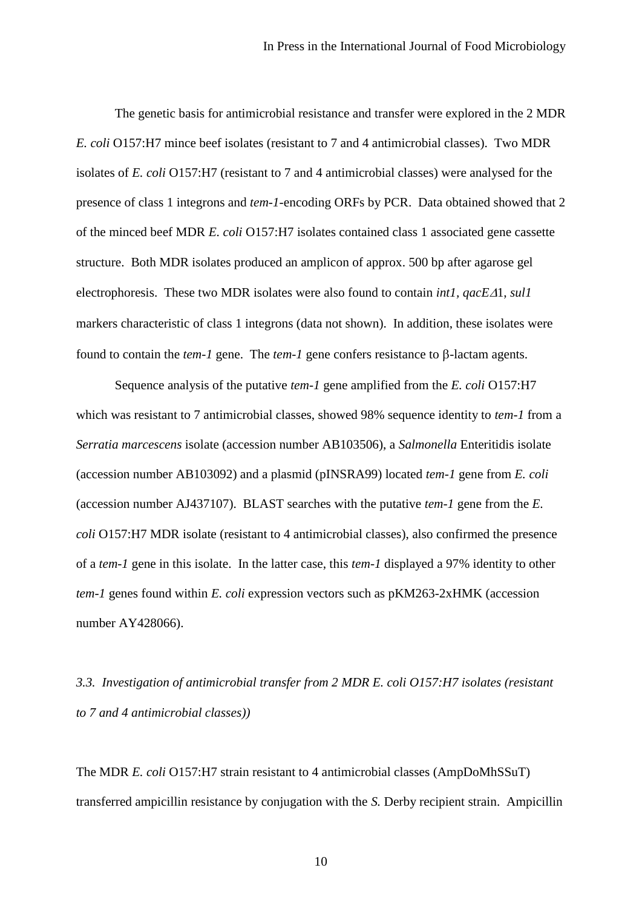The genetic basis for antimicrobial resistance and transfer were explored in the 2 MDR *E. coli* O157:H7 mince beef isolates (resistant to 7 and 4 antimicrobial classes). Two MDR isolates of *E. coli* O157:H7 (resistant to 7 and 4 antimicrobial classes) were analysed for the presence of class 1 integrons and *tem*-*1*-encoding ORFs by PCR. Data obtained showed that 2 of the minced beef MDR *E. coli* O157:H7 isolates contained class 1 associated gene cassette structure. Both MDR isolates produced an amplicon of approx. 500 bp after agarose gel electrophoresis. These two MDR isolates were also found to contain *int1*,  $qacE\Delta1$ , *sul1* markers characteristic of class 1 integrons (data not shown). In addition, these isolates were found to contain the *tem-1* gene. The *tem-1* gene confers resistance to  $\beta$ -lactam agents.

Sequence analysis of the putative *tem*-*1* gene amplified from the *E. coli* O157:H7 which was resistant to 7 antimicrobial classes, showed 98% sequence identity to *tem*-*1* from a *Serratia marcescens* isolate (accession number AB103506), a *Salmonella* Enteritidis isolate (accession number AB103092) and a plasmid (pINSRA99) located *tem*-*1* gene from *E. coli* (accession number AJ437107). BLAST searches with the putative *tem*-*1* gene from the *E. coli* O157:H7 MDR isolate (resistant to 4 antimicrobial classes), also confirmed the presence of a *tem-1* gene in this isolate. In the latter case, this *tem*-*1* displayed a 97% identity to other *tem*-*1* genes found within *E. coli* expression vectors such as pKM263-2xHMK (accession number AY428066).

*3.3. Investigation of antimicrobial transfer from 2 MDR E. coli O157:H7 isolates (resistant to 7 and 4 antimicrobial classes))*

The MDR *E. coli* O157:H7 strain resistant to 4 antimicrobial classes (AmpDoMhSSuT) transferred ampicillin resistance by conjugation with the *S.* Derby recipient strain. Ampicillin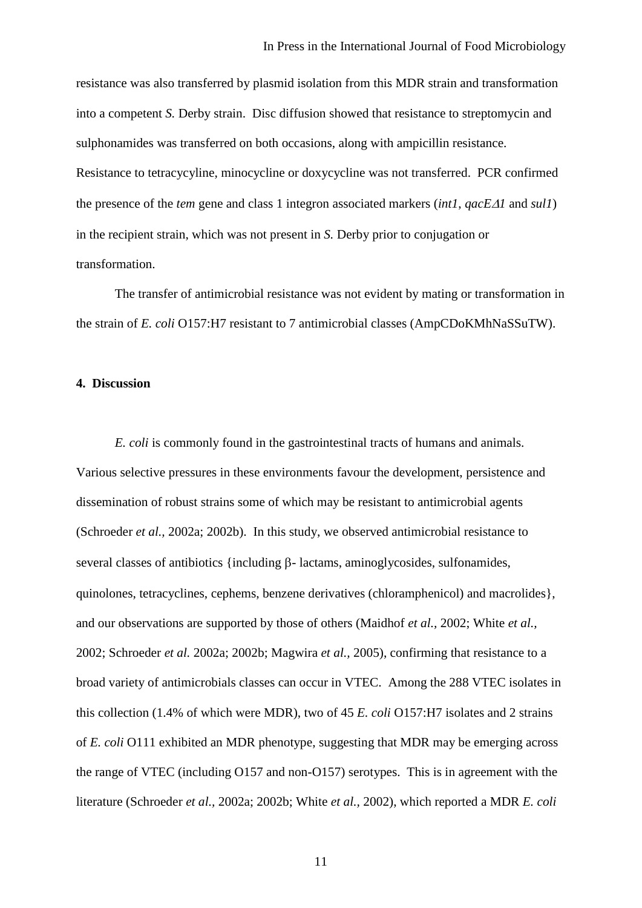resistance was also transferred by plasmid isolation from this MDR strain and transformation into a competent *S.* Derby strain. Disc diffusion showed that resistance to streptomycin and sulphonamides was transferred on both occasions, along with ampicillin resistance. Resistance to tetracycyline, minocycline or doxycycline was not transferred. PCR confirmed the presence of the *tem* gene and class 1 integron associated markers (*int1*, *qacE1* and *sul1*) in the recipient strain, which was not present in *S.* Derby prior to conjugation or transformation.

The transfer of antimicrobial resistance was not evident by mating or transformation in the strain of *E. coli* O157:H7 resistant to 7 antimicrobial classes (AmpCDoKMhNaSSuTW).

#### **4. Discussion**

*E. coli* is commonly found in the gastrointestinal tracts of humans and animals. Various selective pressures in these environments favour the development, persistence and dissemination of robust strains some of which may be resistant to antimicrobial agents (Schroeder *et al.,* 2002a; 2002b). In this study, we observed antimicrobial resistance to several classes of antibiotics {including  $\beta$ - lactams, aminoglycosides, sulfonamides, quinolones, tetracyclines, cephems, benzene derivatives (chloramphenicol) and macrolides}, and our observations are supported by those of others (Maidhof *et al.,* 2002; White *et al.,* 2002; Schroeder *et al.* 2002a; 2002b; Magwira *et al.,* 2005), confirming that resistance to a broad variety of antimicrobials classes can occur in VTEC. Among the 288 VTEC isolates in this collection (1.4% of which were MDR), two of 45 *E. coli* O157:H7 isolates and 2 strains of *E. coli* O111 exhibited an MDR phenotype, suggesting that MDR may be emerging across the range of VTEC (including O157 and non-O157) serotypes. This is in agreement with the literature (Schroeder *et al.,* 2002a; 2002b; White *et al.,* 2002), which reported a MDR *E. coli*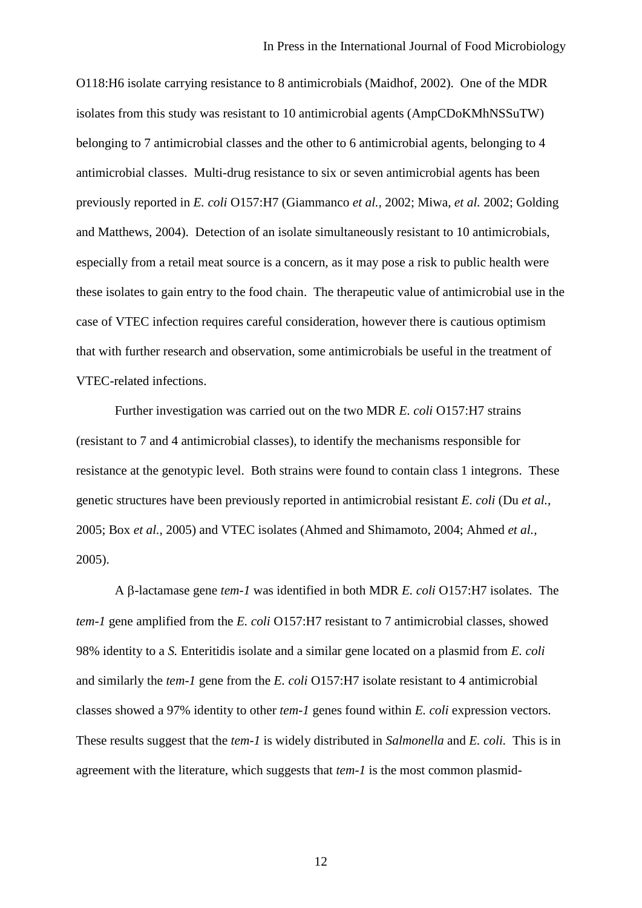O118:H6 isolate carrying resistance to 8 antimicrobials (Maidhof, 2002). One of the MDR isolates from this study was resistant to 10 antimicrobial agents (AmpCDoKMhNSSuTW) belonging to 7 antimicrobial classes and the other to 6 antimicrobial agents, belonging to 4 antimicrobial classes. Multi-drug resistance to six or seven antimicrobial agents has been previously reported in *E. coli* O157:H7 (Giammanco *et al.,* 2002; Miwa, *et al.* 2002; Golding and Matthews, 2004). Detection of an isolate simultaneously resistant to 10 antimicrobials, especially from a retail meat source is a concern, as it may pose a risk to public health were these isolates to gain entry to the food chain. The therapeutic value of antimicrobial use in the case of VTEC infection requires careful consideration, however there is cautious optimism that with further research and observation, some antimicrobials be useful in the treatment of VTEC-related infections.

Further investigation was carried out on the two MDR *E. coli* O157:H7 strains (resistant to 7 and 4 antimicrobial classes), to identify the mechanisms responsible for resistance at the genotypic level. Both strains were found to contain class 1 integrons. These genetic structures have been previously reported in antimicrobial resistant *E. coli* (Du *et al.,*  2005; Box *et al.,* 2005) and VTEC isolates (Ahmed and Shimamoto, 2004; Ahmed *et al.,* 2005).

A β-lactamase gene *tem-1* was identified in both MDR *E. coli* O157:H7 isolates. The *tem*-*1* gene amplified from the *E. coli* O157:H7 resistant to 7 antimicrobial classes, showed 98% identity to a *S.* Enteritidis isolate and a similar gene located on a plasmid from *E. coli* and similarly the *tem*-*1* gene from the *E. coli* O157:H7 isolate resistant to 4 antimicrobial classes showed a 97% identity to other *tem*-*1* genes found within *E. coli* expression vectors. These results suggest that the *tem*-*1* is widely distributed in *Salmonella* and *E. coli.* This is in agreement with the literature, which suggests that *tem*-*1* is the most common plasmid-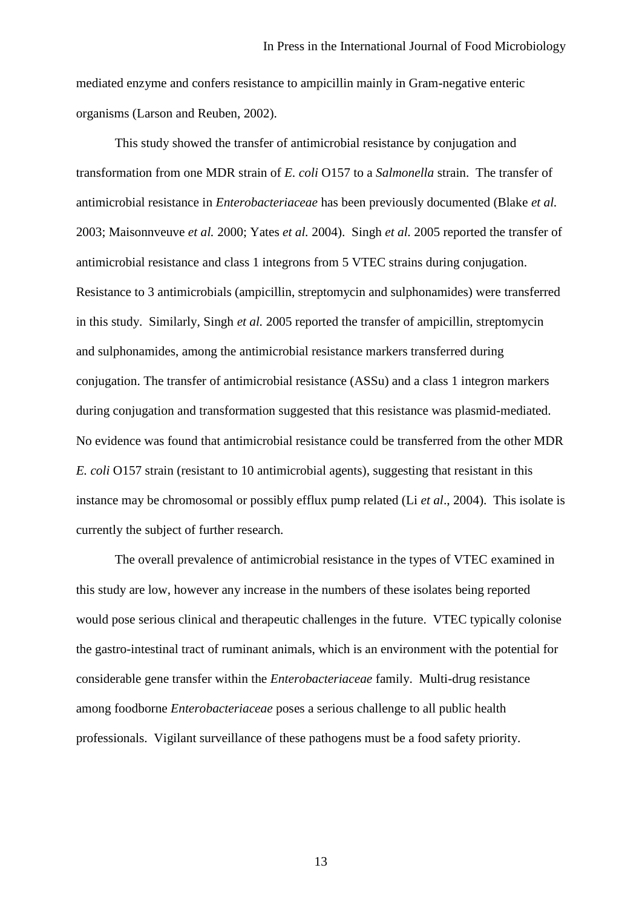mediated enzyme and confers resistance to ampicillin mainly in Gram-negative enteric organisms (Larson and Reuben, 2002).

This study showed the transfer of antimicrobial resistance by conjugation and transformation from one MDR strain of *E. coli* O157 to a *Salmonella* strain. The transfer of antimicrobial resistance in *Enterobacteriaceae* has been previously documented (Blake *et al.*  2003; Maisonnveuve *et al.* 2000; Yates *et al.* 2004). Singh *et al.* 2005 reported the transfer of antimicrobial resistance and class 1 integrons from 5 VTEC strains during conjugation. Resistance to 3 antimicrobials (ampicillin, streptomycin and sulphonamides) were transferred in this study. Similarly, Singh *et al.* 2005 reported the transfer of ampicillin, streptomycin and sulphonamides, among the antimicrobial resistance markers transferred during conjugation. The transfer of antimicrobial resistance (ASSu) and a class 1 integron markers during conjugation and transformation suggested that this resistance was plasmid-mediated. No evidence was found that antimicrobial resistance could be transferred from the other MDR *E. coli* O157 strain (resistant to 10 antimicrobial agents), suggesting that resistant in this instance may be chromosomal or possibly efflux pump related (Li *et al*., 2004). This isolate is currently the subject of further research.

The overall prevalence of antimicrobial resistance in the types of VTEC examined in this study are low, however any increase in the numbers of these isolates being reported would pose serious clinical and therapeutic challenges in the future. VTEC typically colonise the gastro-intestinal tract of ruminant animals, which is an environment with the potential for considerable gene transfer within the *Enterobacteriaceae* family. Multi-drug resistance among foodborne *Enterobacteriaceae* poses a serious challenge to all public health professionals. Vigilant surveillance of these pathogens must be a food safety priority.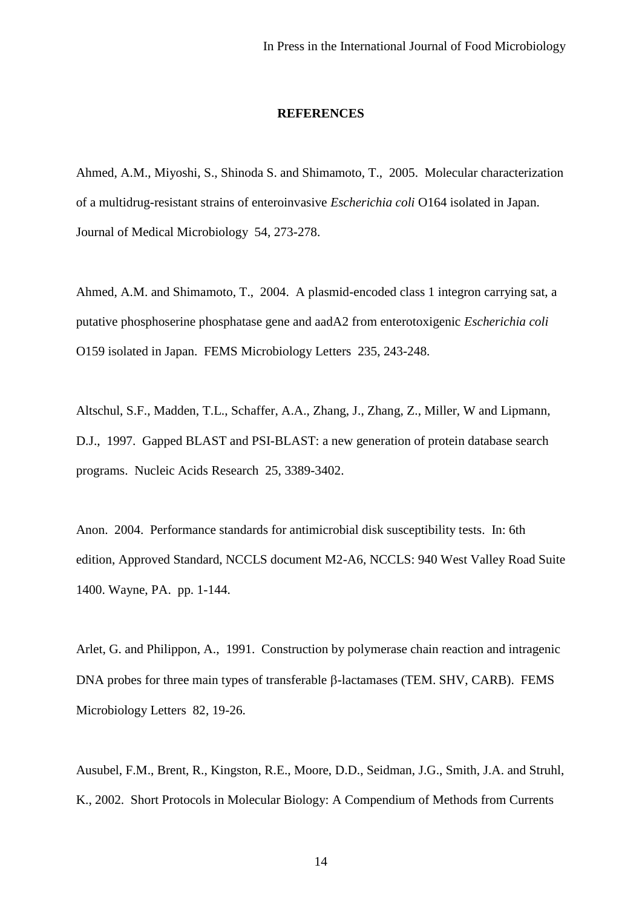#### **REFERENCES**

Ahmed, A.M., Miyoshi, S., Shinoda S. and Shimamoto, T., 2005. Molecular characterization of a multidrug-resistant strains of enteroinvasive *Escherichia coli* O164 isolated in Japan. Journal of Medical Microbiology 54, 273-278.

Ahmed, A.M. and Shimamoto, T., 2004. A plasmid-encoded class 1 integron carrying sat, a putative phosphoserine phosphatase gene and aadA2 from enterotoxigenic *Escherichia coli*  O159 isolated in Japan. FEMS Microbiology Letters235, 243-248.

Altschul, S.F., Madden, T.L., Schaffer, A.A., Zhang, J., Zhang, Z., Miller, W and Lipmann, D.J., 1997. Gapped BLAST and PSI-BLAST: a new generation of protein database search programs. Nucleic Acids Research 25, 3389-3402.

Anon. 2004. Performance standards for antimicrobial disk susceptibility tests. In: 6th edition, Approved Standard, NCCLS document M2-A6, NCCLS: 940 West Valley Road Suite 1400. Wayne, PA. pp. 1-144.

Arlet, G. and Philippon, A., 1991. Construction by polymerase chain reaction and intragenic DNA probes for three main types of transferable  $\beta$ -lactamases (TEM. SHV, CARB). FEMS Microbiology Letters 82, 19-26.

Ausubel, F.M., Brent, R., Kingston, R.E., Moore, D.D., Seidman, J.G., Smith, J.A. and Struhl, K., 2002. Short Protocols in Molecular Biology: A Compendium of Methods from Currents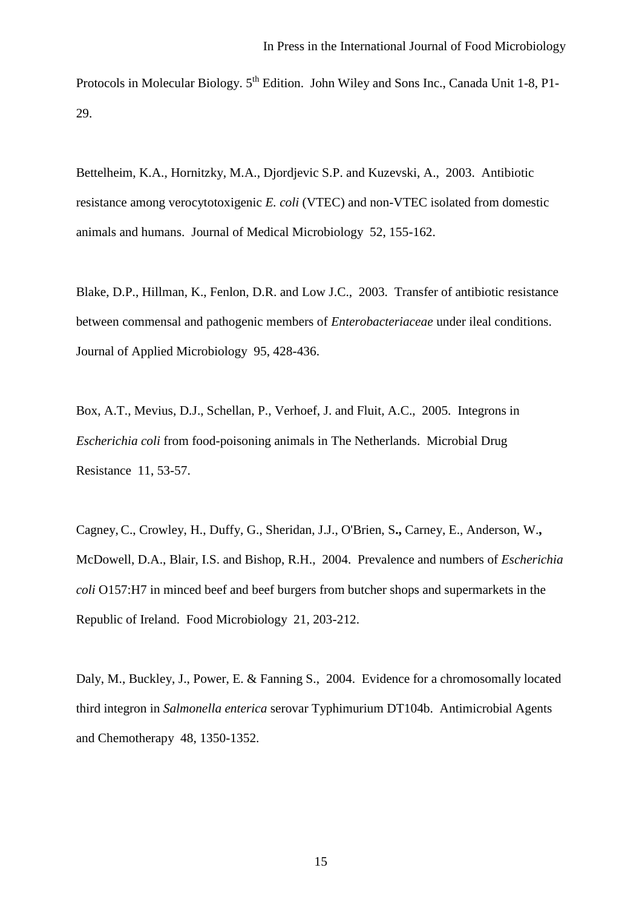Protocols in Molecular Biology. 5<sup>th</sup> Edition. John Wiley and Sons Inc., Canada Unit 1-8, P1-29.

Bettelheim, K.A., Hornitzky, M.A., Djordjevic S.P. and Kuzevski, A., 2003. Antibiotic resistance among verocytotoxigenic *E. coli* (VTEC) and non-VTEC isolated from domestic animals and humans. Journal of Medical Microbiology 52, 155-162.

Blake, D.P., Hillman, K., Fenlon, D.R. and Low J.C., 2003. Transfer of antibiotic resistance between commensal and pathogenic members of *Enterobacteriaceae* under ileal conditions. Journal of Applied Microbiology 95, 428-436.

Box, A.T., Mevius, D.J., Schellan, P., Verhoef, J. and Fluit, A.C., 2005. Integrons in *Escherichia coli* from food-poisoning animals in The Netherlands. Microbial Drug Resistance 11, 53-57.

Cagney, C., Crowley, H., Duffy, G., Sheridan, J.J., O'Brien, S**.,** Carney, E., Anderson, W.**,**  McDowell, D.A., Blair, I.S. and Bishop, R.H., 2004. Prevalence and numbers of *Escherichia coli* O157:H7 in minced beef and beef burgers from butcher shops and supermarkets in the Republic of Ireland. Food Microbiology 21, 203-212.

Daly, M., Buckley, J., Power, E. & Fanning S.,2004. Evidence for a chromosomally located third integron in *Salmonella enterica* serovar Typhimurium DT104b. Antimicrobial Agents and Chemotherapy 48, 1350-1352.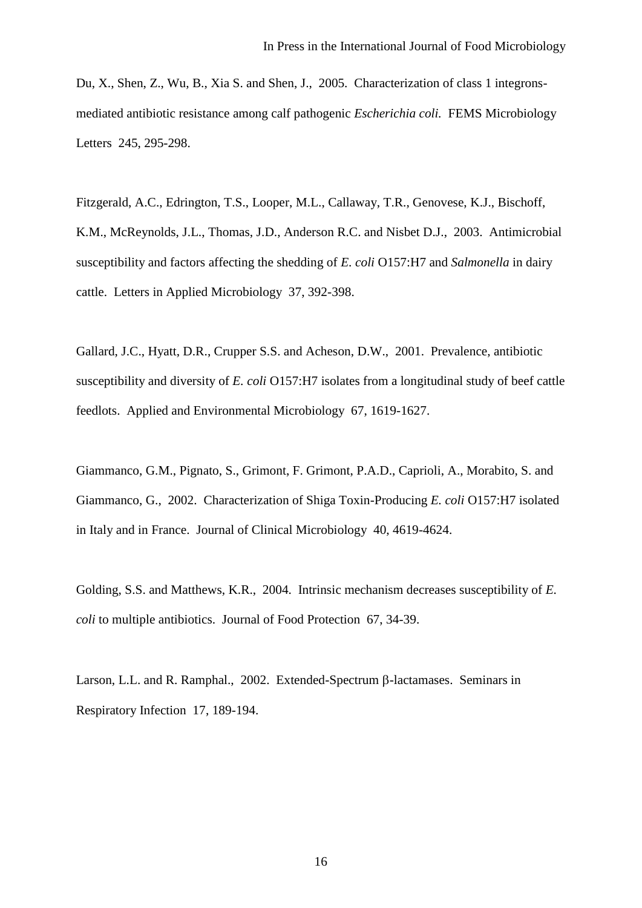Du, X., Shen, Z., Wu, B., Xia S. and Shen, J., 2005. Characterization of class 1 integronsmediated antibiotic resistance among calf pathogenic *Escherichia coli.* FEMS Microbiology Letters 245, 295-298.

Fitzgerald, A.C., Edrington, T.S., Looper, M.L., Callaway, T.R., Genovese, K.J., Bischoff, K.M., McReynolds, J.L., Thomas, J.D., Anderson R.C. and Nisbet D.J., 2003. Antimicrobial susceptibility and factors affecting the shedding of *E. coli* O157:H7 and *Salmonella* in dairy cattle. Letters in Applied Microbiology 37, 392-398.

Gallard, J.C., Hyatt, D.R., Crupper S.S. and Acheson, D.W., 2001. Prevalence, antibiotic susceptibility and diversity of *E. coli* O157:H7 isolates from a longitudinal study of beef cattle feedlots. Applied and Environmental Microbiology 67, 1619-1627.

Giammanco, G.M., Pignato, S., Grimont, F. Grimont, P.A.D., Caprioli, A., Morabito, S. and Giammanco, G., 2002. Characterization of Shiga Toxin-Producing *E. coli* O157:H7 isolated in Italy and in France. Journal of Clinical Microbiology 40, 4619-4624.

Golding, S.S. and Matthews, K.R., 2004. Intrinsic mechanism decreases susceptibility of *E. coli* to multiple antibiotics. Journal of Food Protection 67, 34-39.

Larson, L.L. and R. Ramphal., 2002. Extended-Spectrum  $\beta$ -lactamases. Seminars in Respiratory Infection 17, 189-194.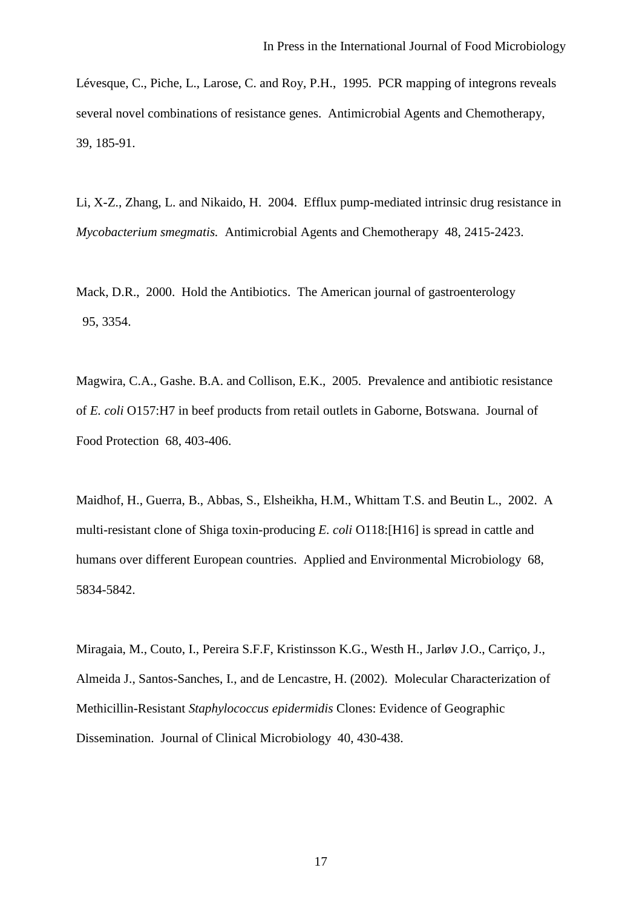Lévesque, C., Piche, L., Larose, C. and Roy, P.H., 1995. PCR mapping of integrons reveals several novel combinations of resistance genes. Antimicrobial Agents and Chemotherapy, 39, 185-91.

Li, X-Z., Zhang, L. and Nikaido, H. 2004. Efflux pump-mediated intrinsic drug resistance in *Mycobacterium smegmatis.* Antimicrobial Agents and Chemotherapy 48, 2415-2423.

Mack, D.R., 2000. Hold the Antibiotics. The American journal of gastroenterology 95, 3354.

Magwira, C.A., Gashe. B.A. and Collison, E.K., 2005. Prevalence and antibiotic resistance of *E. coli* O157:H7 in beef products from retail outlets in Gaborne, Botswana. Journal of Food Protection 68, 403-406.

Maidhof, H., Guerra, B., Abbas, S., Elsheikha, H.M., Whittam T.S. and Beutin L., 2002. A multi-resistant clone of Shiga toxin-producing *E. coli* O118:[H16] is spread in cattle and humans over different European countries. Applied and Environmental Microbiology 68, 5834-5842.

Miragaia, M., Couto, I., Pereira S.F.F, Kristinsson K.G., Westh H., Jarløv J.O., Carriço, J., Almeida J., Santos-Sanches, I., and de Lencastre, H. (2002). Molecular Characterization of Methicillin-Resistant *Staphylococcus epidermidis* Clones: Evidence of Geographic Dissemination. Journal of Clinical Microbiology 40, 430-438.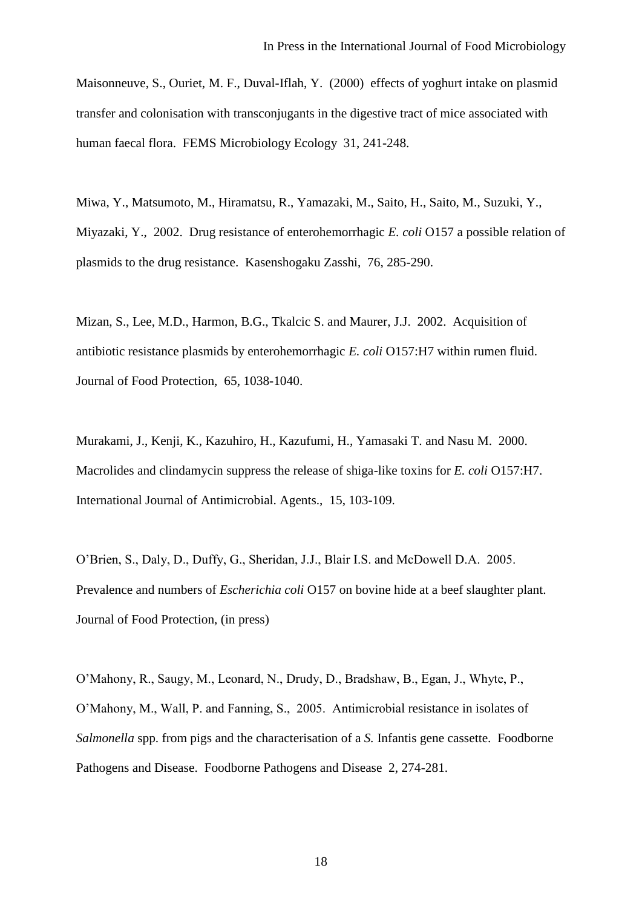Maisonneuve, S., Ouriet, M. F., Duval-Iflah, Y. (2000) effects of yoghurt intake on plasmid transfer and colonisation with transconjugants in the digestive tract of mice associated with human faecal flora. FEMS Microbiology Ecology 31, 241-248.

Miwa, Y., Matsumoto, M., Hiramatsu, R., Yamazaki, M., Saito, H., Saito, M., Suzuki, Y., Miyazaki, Y., 2002. Drug resistance of enterohemorrhagic *E. coli* O157 a possible relation of plasmids to the drug resistance. Kasenshogaku Zasshi, 76, 285-290.

Mizan, S., Lee, M.D., Harmon, B.G., Tkalcic S. and Maurer, J.J. 2002. Acquisition of antibiotic resistance plasmids by enterohemorrhagic *E. coli* O157:H7 within rumen fluid. Journal of Food Protection, 65, 1038-1040.

Murakami, J., Kenji, K., Kazuhiro, H., Kazufumi, H., Yamasaki T. and Nasu M. 2000. Macrolides and clindamycin suppress the release of shiga-like toxins for *E. coli* O157:H7. International Journal of Antimicrobial. Agents., 15, 103-109.

O'Brien, S., Daly, D., Duffy, G., Sheridan, J.J., Blair I.S. and McDowell D.A. 2005. Prevalence and numbers of *Escherichia coli* O157 on bovine hide at a beef slaughter plant. Journal of Food Protection, (in press)

O'Mahony, R., Saugy, M., Leonard, N., Drudy, D., Bradshaw, B., Egan, J., Whyte, P., O'Mahony, M., Wall, P. and Fanning, S., 2005. Antimicrobial resistance in isolates of *Salmonella* spp. from pigs and the characterisation of a *S.* Infantis gene cassette. Foodborne Pathogens and Disease. Foodborne Pathogens and Disease 2, 274-281.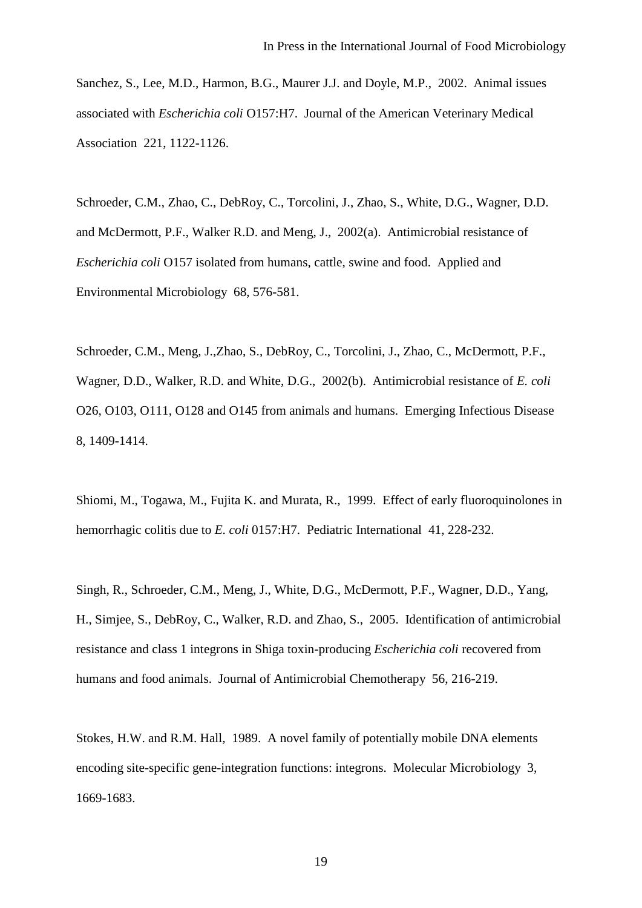Sanchez, S., Lee, M.D., Harmon, B.G., Maurer J.J. and Doyle, M.P., 2002. Animal issues associated with *Escherichia coli* O157:H7. Journal of the American Veterinary Medical Association 221, 1122-1126.

Schroeder, C.M., Zhao, C., DebRoy, C., Torcolini, J., Zhao, S., White, D.G., Wagner, D.D. and McDermott, P.F., Walker R.D. and Meng, J., 2002(a). Antimicrobial resistance of *Escherichia coli* O157 isolated from humans, cattle, swine and food. Applied and Environmental Microbiology 68, 576-581.

Schroeder, C.M., Meng, J.,Zhao, S., DebRoy, C., Torcolini, J., Zhao, C., McDermott, P.F., Wagner, D.D., Walker, R.D. and White, D.G., 2002(b). Antimicrobial resistance of *E. coli* O26, O103, O111, O128 and O145 from animals and humans. Emerging Infectious Disease 8, 1409-1414.

Shiomi, M., Togawa, M., Fujita K. and Murata, R., 1999. Effect of early fluoroquinolones in hemorrhagic colitis due to *E. coli* 0157:H7. Pediatric International41, 228-232.

Singh, R., Schroeder, C.M., Meng, J., White, D.G., McDermott, P.F., Wagner, D.D., Yang, H., Simjee, S., DebRoy, C., Walker, R.D. and Zhao, S., 2005. Identification of antimicrobial resistance and class 1 integrons in Shiga toxin-producing *Escherichia coli* recovered from humans and food animals. Journal of Antimicrobial Chemotherapy 56, 216-219.

Stokes, H.W. and R.M. Hall, 1989. A novel family of potentially mobile DNA elements encoding site-specific gene-integration functions: integrons. Molecular Microbiology 3, 1669-1683.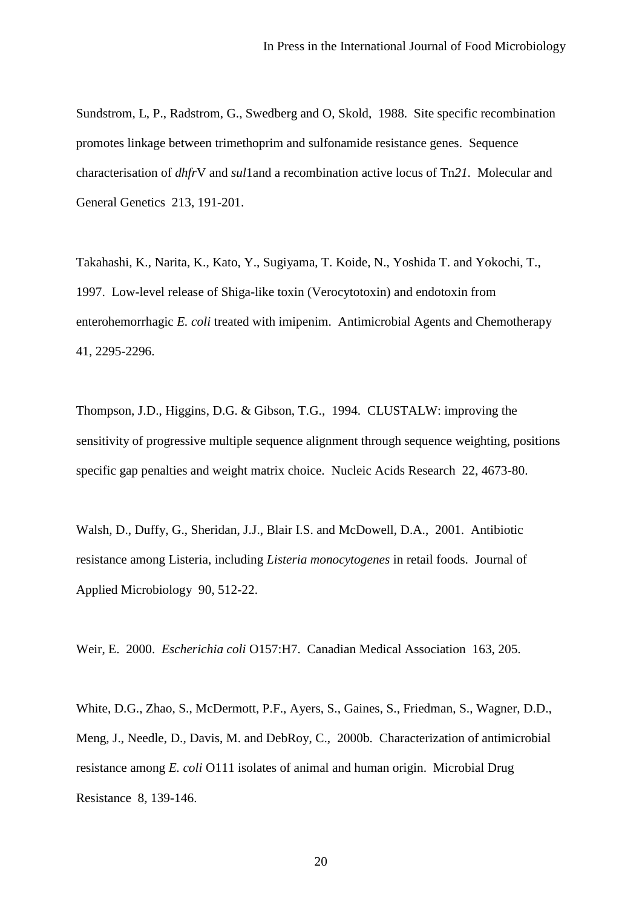Sundstrom, L, P., Radstrom, G., Swedberg and O, Skold, 1988. Site specific recombination promotes linkage between trimethoprim and sulfonamide resistance genes. Sequence characterisation of *dhfr*V and *sul*1and a recombination active locus of Tn*21.* Molecular and General Genetics 213, 191-201.

Takahashi, K., Narita, K., Kato, Y., Sugiyama, T. Koide, N., Yoshida T. and Yokochi, T., 1997. Low-level release of Shiga-like toxin (Verocytotoxin) and endotoxin from enterohemorrhagic *E. coli* treated with imipenim. Antimicrobial Agents and Chemotherapy 41, 2295-2296.

Thompson, J.D., Higgins, D.G. & Gibson, T.G., 1994. CLUSTALW: improving the sensitivity of progressive multiple sequence alignment through sequence weighting, positions specific gap penalties and weight matrix choice. Nucleic Acids Research 22, 4673-80.

Walsh, D., Duffy, G., Sheridan, J.J., Blair I.S. and McDowell, D.A., 2001. Antibiotic resistance among Listeria, including *Listeria monocytogenes* in retail foods. Journal of Applied Microbiology 90, 512-22.

Weir, E. 2000. *Escherichia coli* O157:H7. Canadian Medical Association 163, 205.

White, D.G., Zhao, S., McDermott, P.F., Ayers, S., Gaines, S., Friedman, S., Wagner, D.D., Meng, J., Needle, D., Davis, M. and DebRoy, C., 2000b. Characterization of antimicrobial resistance among *E. coli* O111 isolates of animal and human origin. Microbial Drug Resistance 8, 139-146.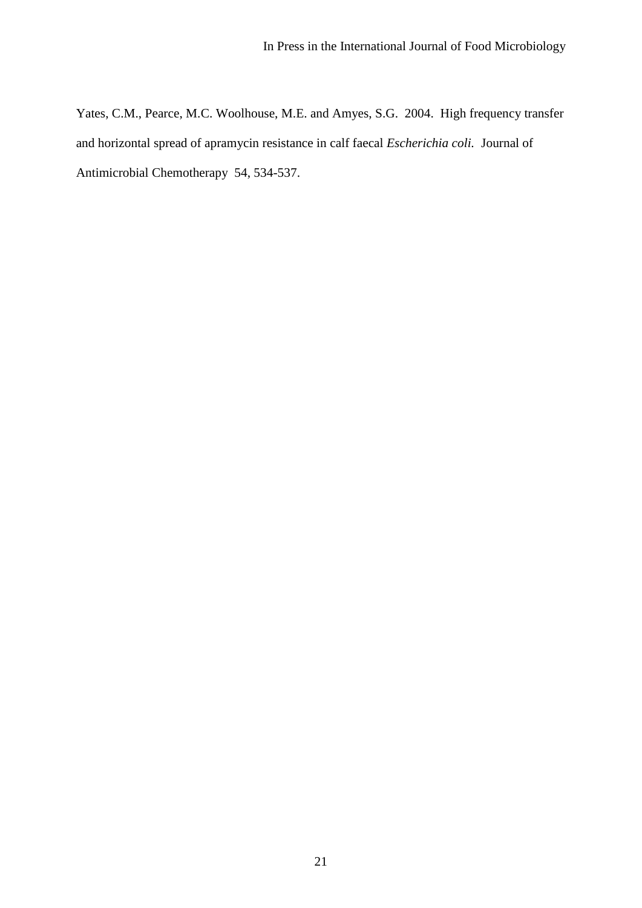Yates, C.M., Pearce, M.C. Woolhouse, M.E. and Amyes, S.G. 2004. High frequency transfer and horizontal spread of apramycin resistance in calf faecal *Escherichia coli.* Journal of Antimicrobial Chemotherapy 54, 534-537.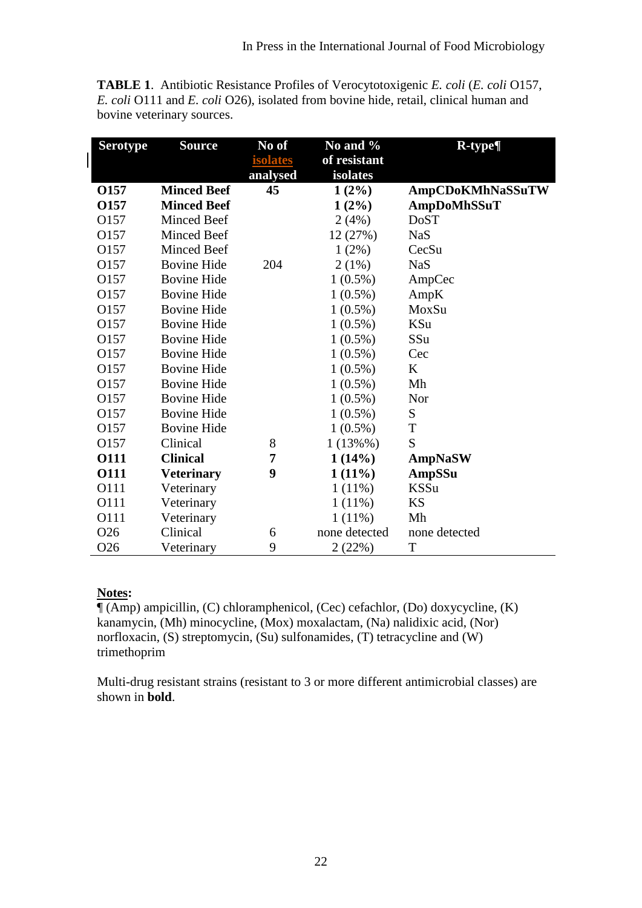**TABLE 1**. Antibiotic Resistance Profiles of Verocytotoxigenic *E. coli* (*E. coli* O157, *E. coli* O111 and *E. coli* O26), isolated from bovine hide, retail, clinical human and bovine veterinary sources.

| <b>Serotype</b>  | <b>Source</b>      | No of           | No and %      | $R$ -type $\P$     |  |
|------------------|--------------------|-----------------|---------------|--------------------|--|
|                  |                    | <b>isolates</b> | of resistant  |                    |  |
|                  |                    | analysed        | isolates      |                    |  |
| O157             | <b>Minced Beef</b> | 45              | $1(2\%)$      | AmpCDoKMhNaSSuTW   |  |
| O157             | <b>Minced Beef</b> |                 | $1(2\%)$      | <b>AmpDoMhSSuT</b> |  |
| O157             | <b>Minced Beef</b> |                 | 2(4%)         | <b>DoST</b>        |  |
| O157             | <b>Minced Beef</b> |                 | 12 (27%)      | <b>NaS</b>         |  |
| O <sub>157</sub> | <b>Minced Beef</b> |                 | $1(2\%)$      | CecSu              |  |
| O157             | <b>Bovine Hide</b> | 204             | 2(1%)         | <b>NaS</b>         |  |
| O157             | <b>Bovine Hide</b> |                 | $1(0.5\%)$    | AmpCec             |  |
| O157             | <b>Bovine Hide</b> |                 | $1(0.5\%)$    | AmpK               |  |
| O157             | <b>Bovine Hide</b> |                 | $1(0.5\%)$    | MoxSu              |  |
| O157             | <b>Bovine Hide</b> |                 | $1(0.5\%)$    | KSu                |  |
| O157             | <b>Bovine Hide</b> |                 | $1(0.5\%)$    | SSu                |  |
| O157             | <b>Bovine Hide</b> |                 | $1(0.5\%)$    | Cec                |  |
| O157             | <b>Bovine Hide</b> |                 | $1(0.5\%)$    | $\bf K$            |  |
| O157             | <b>Bovine Hide</b> |                 | $1(0.5\%)$    | Mh                 |  |
| O157             | <b>Bovine Hide</b> |                 | $1(0.5\%)$    | Nor                |  |
| O <sub>157</sub> | <b>Bovine Hide</b> |                 | $1(0.5\%)$    | ${\bf S}$          |  |
| O157             | <b>Bovine Hide</b> |                 | $1(0.5\%)$    | T                  |  |
| O157             | Clinical           | 8               | $1(13\%%$     | S                  |  |
| 0111             | <b>Clinical</b>    | 7               | 1(14%)        | <b>AmpNaSW</b>     |  |
| <b>O111</b>      | <b>Veterinary</b>  | 9               | $1(11\%)$     | <b>AmpSSu</b>      |  |
| O111             | Veterinary         |                 | $1(11\%)$     | <b>KSSu</b>        |  |
| O111             | Veterinary         |                 | $1(11\%)$     | <b>KS</b>          |  |
| O111             | Veterinary         |                 | $1(11\%)$     | Mh                 |  |
| O <sub>26</sub>  | Clinical           | 6               | none detected | none detected      |  |
| O <sub>26</sub>  | Veterinary         | 9               | 2(22%)        | T                  |  |

## **Notes:**

 $\P$ (Amp) ampicillin, (C) chloramphenicol, (Cec) cefachlor, (Do) doxycycline, (K) kanamycin, (Mh) minocycline, (Mox) moxalactam, (Na) nalidixic acid, (Nor) norfloxacin, (S) streptomycin, (Su) sulfonamides, (T) tetracycline and (W) trimethoprim

Multi-drug resistant strains (resistant to 3 or more different antimicrobial classes) are shown in **bold**.